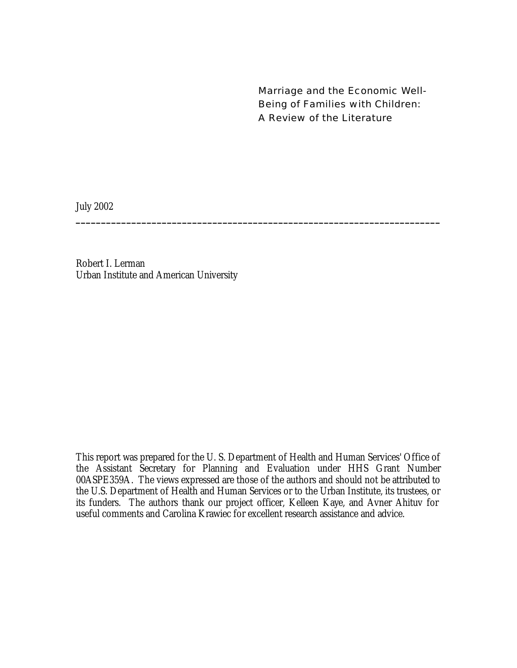Marriage and the Economic Well-Being of Families with Children: A Review of the Literature

July 2002

Robert I. Lerman Urban Institute and American University

This report was prepared for the U. S. Department of Health and Human Services' Office of the Assistant Secretary for Planning and Evaluation under HHS Grant Number 00ASPE359A. The views expressed are those of the authors and should not be attributed to the U.S. Department of Health and Human Services or to the Urban Institute, its trustees, or its funders. The authors thank our project officer, Kelleen Kaye, and Avner Ahituv for useful comments and Carolina Krawiec for excellent research assistance and advice.

**\_\_\_\_\_\_\_\_\_\_\_\_\_\_\_\_\_\_\_\_\_\_\_\_\_\_\_\_\_\_\_\_\_\_\_\_\_\_\_\_\_\_\_\_\_\_\_\_\_\_\_\_\_\_\_\_\_\_\_\_\_\_\_\_\_\_\_\_\_\_\_\_**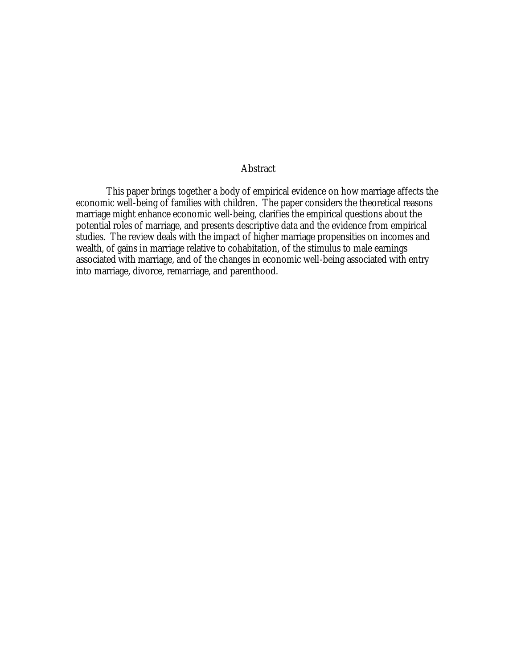#### Abstract

This paper brings together a body of empirical evidence on how marriage affects the economic well-being of families with children. The paper considers the theoretical reasons marriage might enhance economic well-being, clarifies the empirical questions about the potential roles of marriage, and presents descriptive data and the evidence from empirical studies. The review deals with the impact of higher marriage propensities on incomes and wealth, of gains in marriage relative to cohabitation, of the stimulus to male earnings associated with marriage, and of the changes in economic well-being associated with entry into marriage, divorce, remarriage, and parenthood.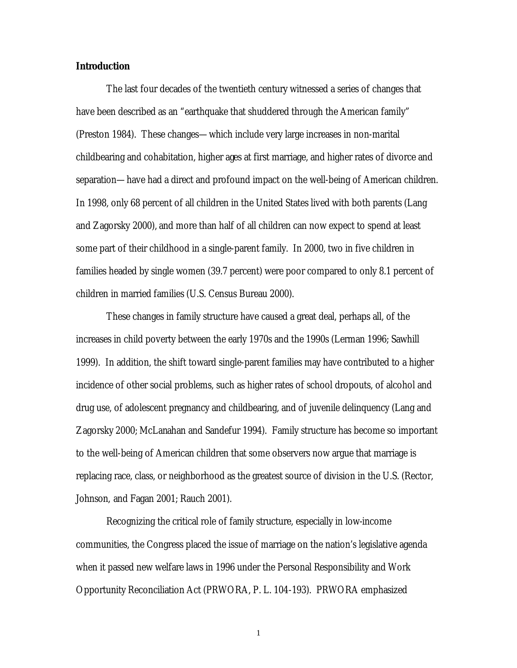#### **Introduction**

The last four decades of the twentieth century witnessed a series of changes that have been described as an "earthquake that shuddered through the American family" (Preston 1984). These changes—which include very large increases in non-marital childbearing and cohabitation, higher ages at first marriage, and higher rates of divorce and separation—have had a direct and profound impact on the well-being of American children. In 1998, only 68 percent of all children in the United States lived with both parents (Lang and Zagorsky 2000), and more than half of all children can now expect to spend at least some part of their childhood in a single-parent family. In 2000, two in five children in families headed by single women (39.7 percent) were poor compared to only 8.1 percent of children in married families (U.S. Census Bureau 2000).

These changes in family structure have caused a great deal, perhaps all, of the increases in child poverty between the early 1970s and the 1990s (Lerman 1996; Sawhill 1999). In addition, the shift toward single-parent families may have contributed to a higher incidence of other social problems, such as higher rates of school dropouts, of alcohol and drug use, of adolescent pregnancy and childbearing, and of juvenile delinquency (Lang and Zagorsky 2000; McLanahan and Sandefur 1994). Family structure has become so important to the well-being of American children that some observers now argue that marriage is replacing race, class, or neighborhood as the greatest source of division in the U.S. (Rector, Johnson, and Fagan 2001; Rauch 2001).

Recognizing the critical role of family structure, especially in low-income communities, the Congress placed the issue of marriage on the nation's legislative agenda when it passed new welfare laws in 1996 under the Personal Responsibility and Work Opportunity Reconciliation Act (PRWORA, P. L. 104-193). PRWORA emphasized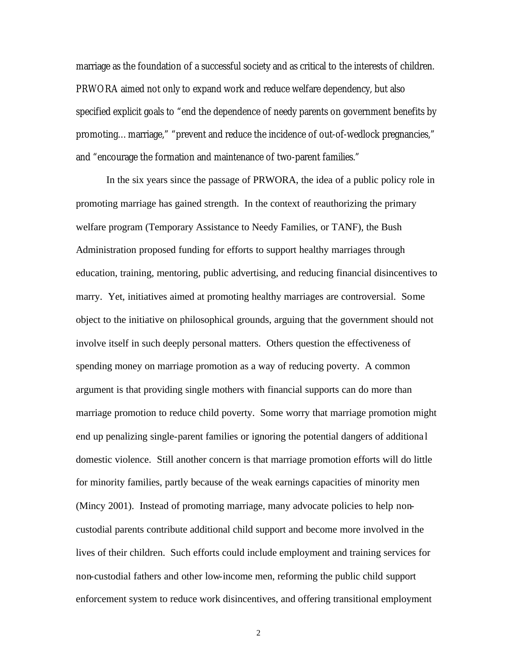marriage as the foundation of a successful society and as critical to the interests of children. PRWORA aimed not only to expand work and reduce welfare dependency, but also specified explicit goals to "end the dependence of needy parents on government benefits by promoting…marriage," "prevent and reduce the incidence of out-of-wedlock pregnancies," and "encourage the formation and maintenance of two-parent families."

In the six years since the passage of PRWORA, the idea of a public policy role in promoting marriage has gained strength. In the context of reauthorizing the primary welfare program (Temporary Assistance to Needy Families, or TANF), the Bush Administration proposed funding for efforts to support healthy marriages through education, training, mentoring, public advertising, and reducing financial disincentives to marry. Yet, initiatives aimed at promoting healthy marriages are controversial. Some object to the initiative on philosophical grounds, arguing that the government should not involve itself in such deeply personal matters. Others question the effectiveness of spending money on marriage promotion as a way of reducing poverty. A common argument is that providing single mothers with financial supports can do more than marriage promotion to reduce child poverty. Some worry that marriage promotion might end up penalizing single-parent families or ignoring the potential dangers of additiona l domestic violence. Still another concern is that marriage promotion efforts will do little for minority families, partly because of the weak earnings capacities of minority men (Mincy 2001). Instead of promoting marriage, many advocate policies to help noncustodial parents contribute additional child support and become more involved in the lives of their children. Such efforts could include employment and training services for non-custodial fathers and other low-income men, reforming the public child support enforcement system to reduce work disincentives, and offering transitional employment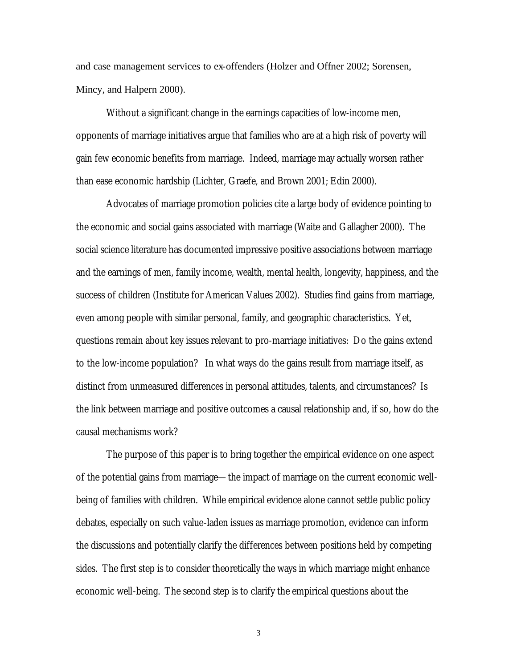and case management services to ex-offenders (Holzer and Offner 2002; Sorensen, Mincy, and Halpern 2000).

Without a significant change in the earnings capacities of low-income men, opponents of marriage initiatives argue that families who are at a high risk of poverty will gain few economic benefits from marriage. Indeed, marriage may actually worsen rather than ease economic hardship (Lichter, Graefe, and Brown 2001; Edin 2000).

Advocates of marriage promotion policies cite a large body of evidence pointing to the economic and social gains associated with marriage (Waite and Gallagher 2000). The social science literature has documented impressive positive associations between marriage and the earnings of men, family income, wealth, mental health, longevity, happiness, and the success of children (Institute for American Values 2002). Studies find gains from marriage, even among people with similar personal, family, and geographic characteristics. Yet, questions remain about key issues relevant to pro-marriage initiatives: Do the gains extend to the low-income population? In what ways do the gains result from marriage itself, as distinct from unmeasured differences in personal attitudes, talents, and circumstances? Is the link between marriage and positive outcomes a causal relationship and, if so, how do the causal mechanisms work?

The purpose of this paper is to bring together the empirical evidence on one aspect of the potential gains from marriage—the impact of marriage on the current economic wellbeing of families with children. While empirical evidence alone cannot settle public policy debates, especially on such value-laden issues as marriage promotion, evidence can inform the discussions and potentially clarify the differences between positions held by competing sides. The first step is to consider theoretically the ways in which marriage might enhance economic well-being. The second step is to clarify the empirical questions about the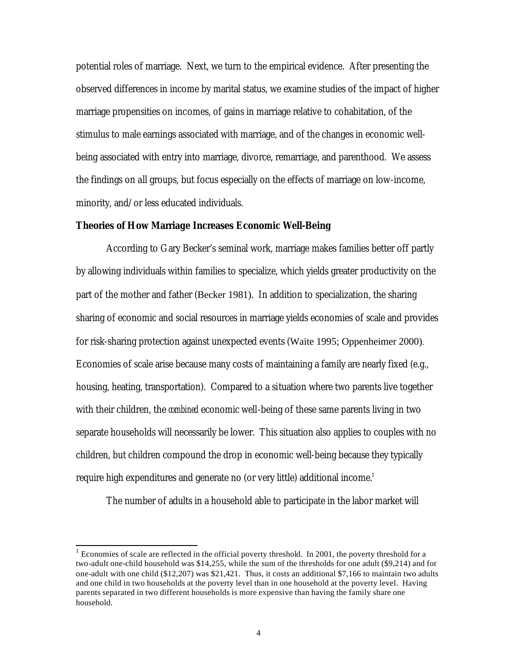potential roles of marriage. Next, we turn to the empirical evidence. After presenting the observed differences in income by marital status, we examine studies of the impact of higher marriage propensities on incomes, of gains in marriage relative to cohabitation, of the stimulus to male earnings associated with marriage, and of the changes in economic wellbeing associated with entry into marriage, divorce, remarriage, and parenthood. We assess the findings on all groups, but focus especially on the effects of marriage on low-income, minority, and/or less educated individuals.

#### **Theories of How Marriage Increases Economic Well-Being**

According to Gary Becker's seminal work, marriage makes families better off partly by allowing individuals within families to specialize, which yields greater productivity on the part of the mother and father (Becker 1981). In addition to specialization, the sharing sharing of economic and social resources in marriage yields economies of scale and provides for risk-sharing protection against unexpected events (Waite 1995; Oppenheimer 2000). Economies of scale arise because many costs of maintaining a family are nearly fixed (e.g., housing, heating, transportation). Compared to a situation where two parents live together with their children, the *combined* economic well-being of these same parents living in two separate households will necessarily be lower. This situation also applies to couples with no children, but children compound the drop in economic well-being because they typically require high expenditures and generate no (or very little) additional income. $^{\text{1}}$ 

The number of adults in a household able to participate in the labor market will

l

 $1$  Economies of scale are reflected in the official poverty threshold. In 2001, the poverty threshold for a two-adult one-child household was \$14,255, while the sum of the thresholds for one adult (\$9,214) and for one-adult with one child (\$12,207) was \$21,421. Thus, it costs an additional \$7,166 to maintain two adults and one child in two households at the poverty level than in one household at the poverty level. Having parents separated in two different households is more expensive than having the family share one household.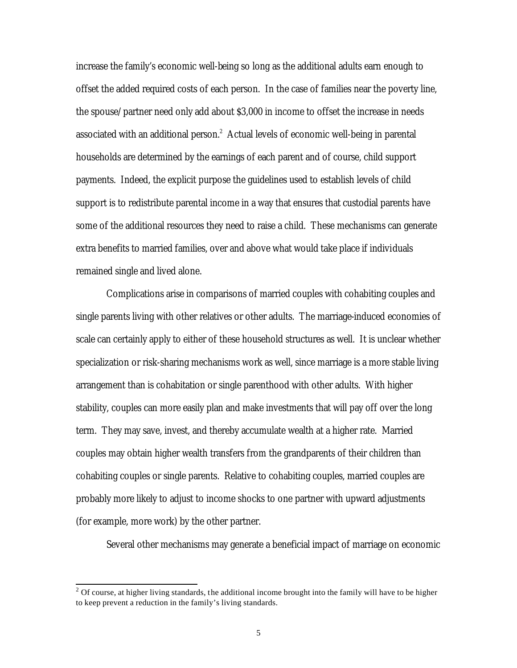increase the family's economic well-being so long as the additional adults earn enough to offset the added required costs of each person. In the case of families near the poverty line, the spouse/partner need only add about \$3,000 in income to offset the increase in needs associated with an additional person. $^2$  Actual levels of economic well-being in parental households are determined by the earnings of each parent and of course, child support payments. Indeed, the explicit purpose the guidelines used to establish levels of child support is to redistribute parental income in a way that ensures that custodial parents have some of the additional resources they need to raise a child. These mechanisms can generate extra benefits to married families, over and above what would take place if individuals remained single and lived alone.

Complications arise in comparisons of married couples with cohabiting couples and single parents living with other relatives or other adults. The marriage-induced economies of scale can certainly apply to either of these household structures as well. It is unclear whether specialization or risk-sharing mechanisms work as well, since marriage is a more stable living arrangement than is cohabitation or single parenthood with other adults. With higher stability, couples can more easily plan and make investments that will pay off over the long term. They may save, invest, and thereby accumulate wealth at a higher rate. Married couples may obtain higher wealth transfers from the grandparents of their children than cohabiting couples or single parents. Relative to cohabiting couples, married couples are probably more likely to adjust to income shocks to one partner with upward adjustments (for example, more work) by the other partner.

Several other mechanisms may generate a beneficial impact of marriage on economic

<sup>&</sup>lt;sup>2</sup> Of course, at higher living standards, the additional income brought into the family will have to be higher to keep prevent a reduction in the family's living standards.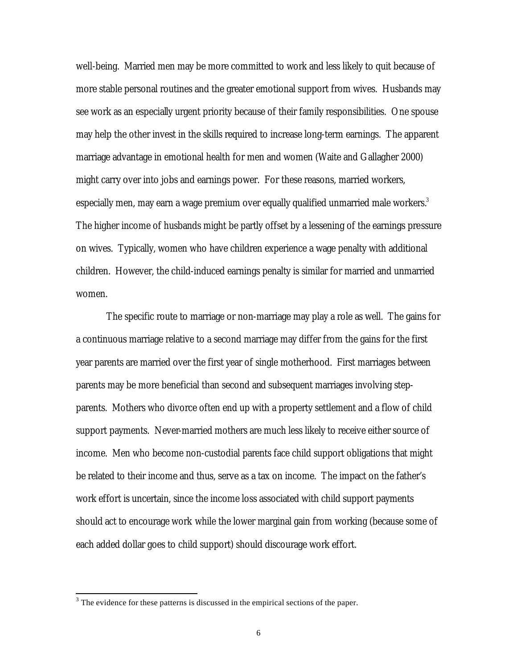well-being. Married men may be more committed to work and less likely to quit because of more stable personal routines and the greater emotional support from wives. Husbands may see work as an especially urgent priority because of their family responsibilities. One spouse may help the other invest in the skills required to increase long-term earnings. The apparent marriage advantage in emotional health for men and women (Waite and Gallagher 2000) might carry over into jobs and earnings power. For these reasons, married workers, especially men, may earn a wage premium over equally qualified unmarried male workers. $^3$ The higher income of husbands might be partly offset by a lessening of the earnings pressure on wives. Typically, women who have children experience a wage penalty with additional children. However, the child-induced earnings penalty is similar for married and unmarried women.

The specific route to marriage or non-marriage may play a role as well. The gains for a continuous marriage relative to a second marriage may differ from the gains for the first year parents are married over the first year of single motherhood. First marriages between parents may be more beneficial than second and subsequent marriages involving stepparents. Mothers who divorce often end up with a property settlement and a flow of child support payments. Never-married mothers are much less likely to receive either source of income. Men who become non-custodial parents face child support obligations that might be related to their income and thus, serve as a tax on income. The impact on the father's work effort is uncertain, since the income loss associated with child support payments should act to encourage work while the lower marginal gain from working (because some of each added dollar goes to child support) should discourage work effort.

l

 $3$  The evidence for these patterns is discussed in the empirical sections of the paper.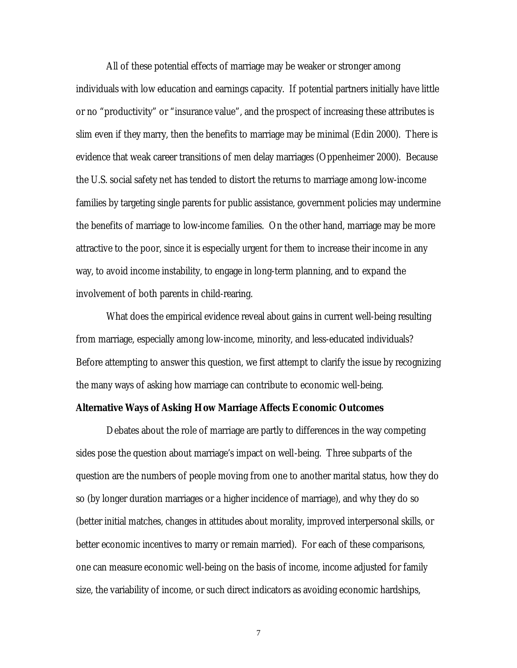All of these potential effects of marriage may be weaker or stronger among individuals with low education and earnings capacity. If potential partners initially have little or no "productivity" or "insurance value", and the prospect of increasing these attributes is slim even if they marry, then the benefits to marriage may be minimal (Edin 2000). There is evidence that weak career transitions of men delay marriages (Oppenheimer 2000). Because the U.S. social safety net has tended to distort the returns to marriage among low-income families by targeting single parents for public assistance, government policies may undermine the benefits of marriage to low-income families. On the other hand, marriage may be more attractive to the poor, since it is especially urgent for them to increase their income in any way, to avoid income instability, to engage in long-term planning, and to expand the involvement of both parents in child-rearing.

What does the empirical evidence reveal about gains in current well-being resulting from marriage, especially among low-income, minority, and less-educated individuals? Before attempting to answer this question, we first attempt to clarify the issue by recognizing the many ways of asking how marriage can contribute to economic well-being.

#### **Alternative Ways of Asking How Marriage Affects Economic Outcomes**

Debates about the role of marriage are partly to differences in the way competing sides pose the question about marriage's impact on well-being. Three subparts of the question are the numbers of people moving from one to another marital status, how they do so (by longer duration marriages or a higher incidence of marriage), and why they do so (better initial matches, changes in attitudes about morality, improved interpersonal skills, or better economic incentives to marry or remain married). For each of these comparisons, one can measure economic well-being on the basis of income, income adjusted for family size, the variability of income, or such direct indicators as avoiding economic hardships,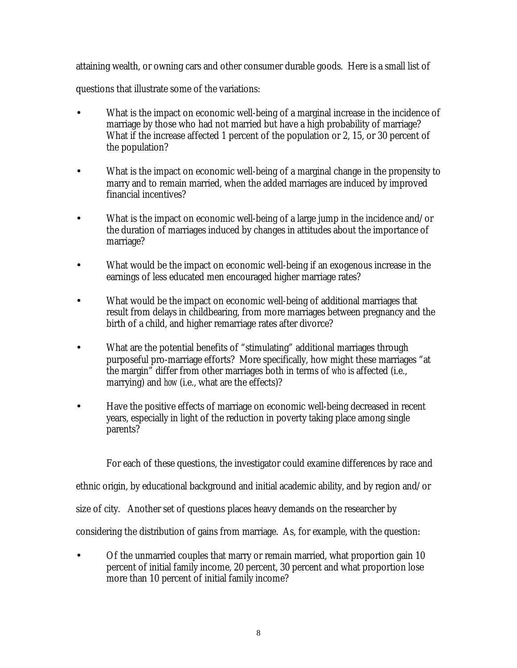attaining wealth, or owning cars and other consumer durable goods. Here is a small list of

questions that illustrate some of the variations:

- What is the impact on economic well-being of a marginal increase in the incidence of marriage by those who had not married but have a high probability of marriage? What if the increase affected 1 percent of the population or 2, 15, or 30 percent of the population?
- What is the impact on economic well-being of a marginal change in the propensity to marry and to remain married, when the added marriages are induced by improved financial incentives?
- What is the impact on economic well-being of a large jump in the incidence and/or the duration of marriages induced by changes in attitudes about the importance of marriage?
- What would be the impact on economic well-being if an exogenous increase in the earnings of less educated men encouraged higher marriage rates?
- What would be the impact on economic well-being of additional marriages that result from delays in childbearing, from more marriages between pregnancy and the birth of a child, and higher remarriage rates after divorce?
- What are the potential benefits of "stimulating" additional marriages through purposeful pro-marriage efforts? More specifically, how might these marriages "at the margin" differ from other marriages both in terms of *who* is affected (i.e., marrying) and *how* (i.e., what are the effects)?
- Have the positive effects of marriage on economic well-being decreased in recent years, especially in light of the reduction in poverty taking place among single parents?

For each of these questions, the investigator could examine differences by race and

ethnic origin, by educational background and initial academic ability, and by region and/or

size of city. Another set of questions places heavy demands on the researcher by

considering the distribution of gains from marriage. As, for example, with the question:

• Of the unmarried couples that marry or remain married, what proportion gain 10 percent of initial family income, 20 percent, 30 percent and what proportion lose more than 10 percent of initial family income?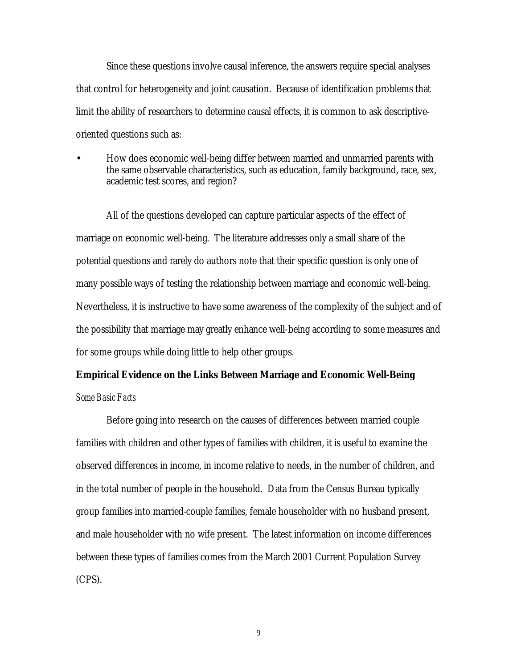Since these questions involve causal inference, the answers require special analyses that control for heterogeneity and joint causation. Because of identification problems that limit the ability of researchers to determine causal effects, it is common to ask descriptiveoriented questions such as:

• How does economic well-being differ between married and unmarried parents with the same observable characteristics, such as education, family background, race, sex, academic test scores, and region?

All of the questions developed can capture particular aspects of the effect of marriage on economic well-being. The literature addresses only a small share of the potential questions and rarely do authors note that their specific question is only one of many possible ways of testing the relationship between marriage and economic well-being. Nevertheless, it is instructive to have some awareness of the complexity of the subject and of the possibility that marriage may greatly enhance well-being according to some measures and for some groups while doing little to help other groups.

# **Empirical Evidence on the Links Between Marriage and Economic Well-Being**

## *Some Basic Facts*

Before going into research on the causes of differences between married couple families with children and other types of families with children, it is useful to examine the observed differences in income, in income relative to needs, in the number of children, and in the total number of people in the household. Data from the Census Bureau typically group families into married-couple families, female householder with no husband present, and male householder with no wife present. The latest information on income differences between these types of families comes from the March 2001 Current Population Survey (CPS).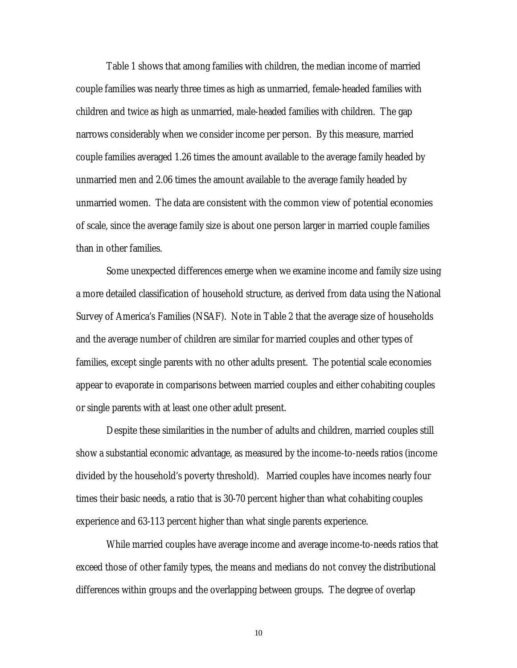Table 1 shows that among families with children, the median income of married couple families was nearly three times as high as unmarried, female-headed families with children and twice as high as unmarried, male-headed families with children. The gap narrows considerably when we consider income per person. By this measure, married couple families averaged 1.26 times the amount available to the average family headed by unmarried men and 2.06 times the amount available to the average family headed by unmarried women. The data are consistent with the common view of potential economies of scale, since the average family size is about one person larger in married couple families than in other families.

Some unexpected differences emerge when we examine income and family size using a more detailed classification of household structure, as derived from data using the National Survey of America's Families (NSAF). Note in Table 2 that the average size of households and the average number of children are similar for married couples and other types of families, except single parents with no other adults present. The potential scale economies appear to evaporate in comparisons between married couples and either cohabiting couples or single parents with at least one other adult present.

Despite these similarities in the number of adults and children, married couples still show a substantial economic advantage, as measured by the income-to-needs ratios (income divided by the household's poverty threshold). Married couples have incomes nearly four times their basic needs, a ratio that is 30-70 percent higher than what cohabiting couples experience and 63-113 percent higher than what single parents experience.

While married couples have average income and average income-to-needs ratios that exceed those of other family types, the means and medians do not convey the distributional differences within groups and the overlapping between groups. The degree of overlap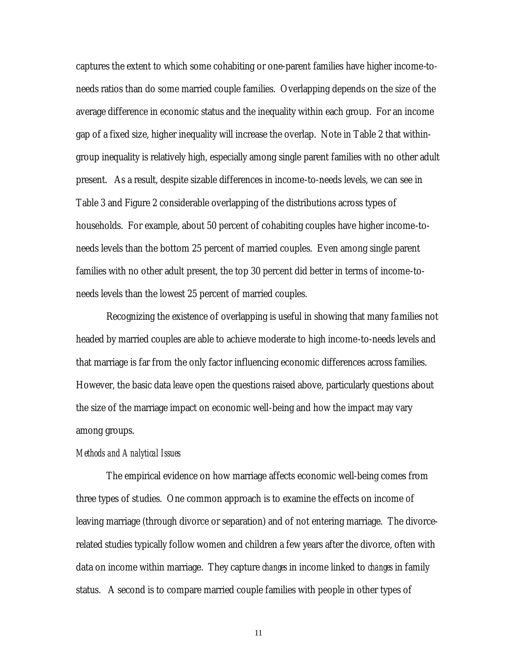captures the extent to which some cohabiting or one-parent families have higher income-toneeds ratios than do some married couple families. Overlapping depends on the size of the average difference in economic status and the inequality within each group. For an income gap of a fixed size, higher inequality will increase the overlap. Note in Table 2 that withingroup inequality is relatively high, especially among single parent families with no other adult present. As a result, despite sizable differences in income-to-needs levels, we can see in Table 3 and Figure 2 considerable overlapping of the distributions across types of households. For example, about 50 percent of cohabiting couples have higher income-toneeds levels than the bottom 25 percent of married couples. Even among single parent families with no other adult present, the top 30 percent did better in terms of income-toneeds levels than the lowest 25 percent of married couples.

Recognizing the existence of overlapping is useful in showing that many families not headed by married couples are able to achieve moderate to high income-to-needs levels and that marriage is far from the only factor influencing economic differences across families. However, the basic data leave open the questions raised above, particularly questions about the size of the marriage impact on economic well-being and how the impact may vary among groups.

#### *Methods and Analytical Issues*

The empirical evidence on how marriage affects economic well-being comes from three types of studies. One common approach is to examine the effects on income of leaving marriage (through divorce or separation) and of not entering marriage. The divorcerelated studies typically follow women and children a few years after the divorce, often with data on income within marriage. They capture *changes* in income linked to *changes* in family status. A second is to compare married couple families with people in other types of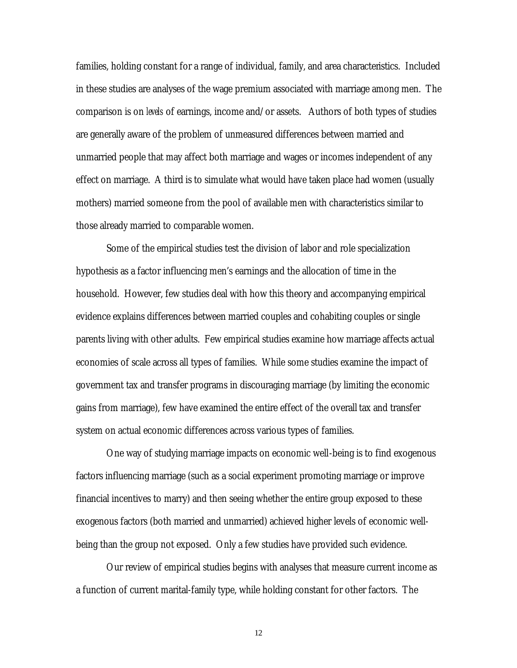families, holding constant for a range of individual, family, and area characteristics. Included in these studies are analyses of the wage premium associated with marriage among men. The comparison is on *levels* of earnings, income and/or assets. Authors of both types of studies are generally aware of the problem of unmeasured differences between married and unmarried people that may affect both marriage and wages or incomes independent of any effect on marriage. A third is to simulate what would have taken place had women (usually mothers) married someone from the pool of available men with characteristics similar to those already married to comparable women.

Some of the empirical studies test the division of labor and role specialization hypothesis as a factor influencing men's earnings and the allocation of time in the household. However, few studies deal with how this theory and accompanying empirical evidence explains differences between married couples and cohabiting couples or single parents living with other adults. Few empirical studies examine how marriage affects actual economies of scale across all types of families. While some studies examine the impact of government tax and transfer programs in discouraging marriage (by limiting the economic gains from marriage), few have examined the entire effect of the overall tax and transfer system on actual economic differences across various types of families.

One way of studying marriage impacts on economic well-being is to find exogenous factors influencing marriage (such as a social experiment promoting marriage or improve financial incentives to marry) and then seeing whether the entire group exposed to these exogenous factors (both married and unmarried) achieved higher levels of economic wellbeing than the group not exposed. Only a few studies have provided such evidence.

Our review of empirical studies begins with analyses that measure current income as a function of current marital-family type, while holding constant for other factors. The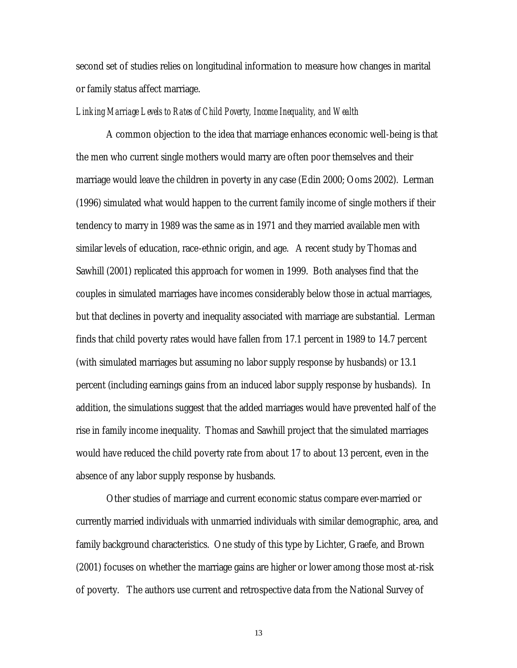second set of studies relies on longitudinal information to measure how changes in marital or family status affect marriage.

#### *Linking Marriage Levels to Rates of Child Poverty, Income Inequality, and Wealth*

A common objection to the idea that marriage enhances economic well-being is that the men who current single mothers would marry are often poor themselves and their marriage would leave the children in poverty in any case (Edin 2000; Ooms 2002). Lerman (1996) simulated what would happen to the current family income of single mothers if their tendency to marry in 1989 was the same as in 1971 and they married available men with similar levels of education, race-ethnic origin, and age. A recent study by Thomas and Sawhill (2001) replicated this approach for women in 1999. Both analyses find that the couples in simulated marriages have incomes considerably below those in actual marriages, but that declines in poverty and inequality associated with marriage are substantial. Lerman finds that child poverty rates would have fallen from 17.1 percent in 1989 to 14.7 percent (with simulated marriages but assuming no labor supply response by husbands) or 13.1 percent (including earnings gains from an induced labor supply response by husbands). In addition, the simulations suggest that the added marriages would have prevented half of the rise in family income inequality. Thomas and Sawhill project that the simulated marriages would have reduced the child poverty rate from about 17 to about 13 percent, even in the absence of any labor supply response by husbands.

Other studies of marriage and current economic status compare ever-married or currently married individuals with unmarried individuals with similar demographic, area, and family background characteristics. One study of this type by Lichter, Graefe, and Brown (2001) focuses on whether the marriage gains are higher or lower among those most at-risk of poverty. The authors use current and retrospective data from the National Survey of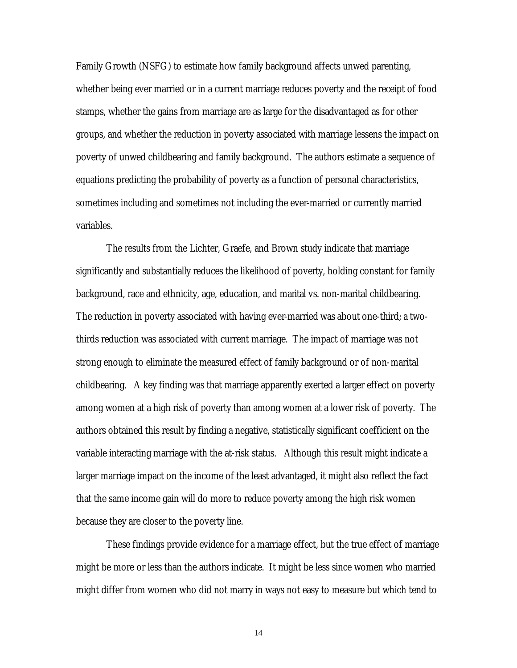Family Growth (NSFG) to estimate how family background affects unwed parenting, whether being ever married or in a current marriage reduces poverty and the receipt of food stamps, whether the gains from marriage are as large for the disadvantaged as for other groups, and whether the reduction in poverty associated with marriage lessens the impact on poverty of unwed childbearing and family background. The authors estimate a sequence of equations predicting the probability of poverty as a function of personal characteristics, sometimes including and sometimes not including the ever-married or currently married variables.

The results from the Lichter, Graefe, and Brown study indicate that marriage significantly and substantially reduces the likelihood of poverty, holding constant for family background, race and ethnicity, age, education, and marital vs. non-marital childbearing. The reduction in poverty associated with having ever-married was about one-third; a twothirds reduction was associated with current marriage. The impact of marriage was not strong enough to eliminate the measured effect of family background or of non-marital childbearing. A key finding was that marriage apparently exerted a larger effect on poverty among women at a high risk of poverty than among women at a lower risk of poverty. The authors obtained this result by finding a negative, statistically significant coefficient on the variable interacting marriage with the at-risk status. Although this result might indicate a larger marriage impact on the income of the least advantaged, it might also reflect the fact that the same income gain will do more to reduce poverty among the high risk women because they are closer to the poverty line.

These findings provide evidence for a marriage effect, but the true effect of marriage might be more or less than the authors indicate. It might be less since women who married might differ from women who did not marry in ways not easy to measure but which tend to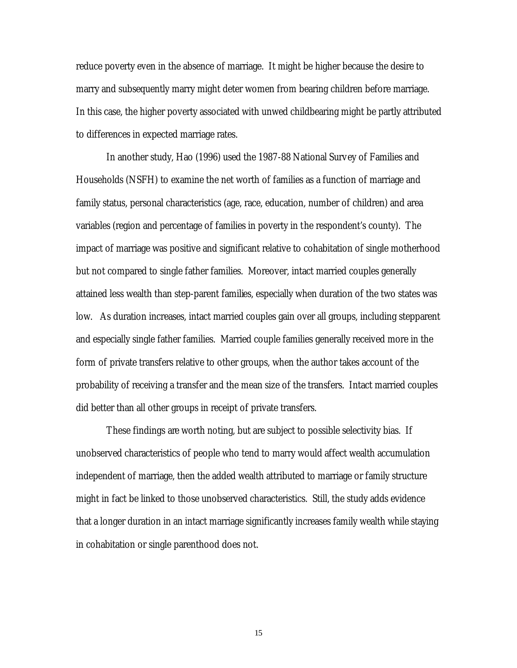reduce poverty even in the absence of marriage. It might be higher because the desire to marry and subsequently marry might deter women from bearing children before marriage. In this case, the higher poverty associated with unwed childbearing might be partly attributed to differences in expected marriage rates.

In another study, Hao (1996) used the 1987-88 National Survey of Families and Households (NSFH) to examine the net worth of families as a function of marriage and family status, personal characteristics (age, race, education, number of children) and area variables (region and percentage of families in poverty in the respondent's county). The impact of marriage was positive and significant relative to cohabitation of single motherhood but not compared to single father families. Moreover, intact married couples generally attained less wealth than step-parent families, especially when duration of the two states was low. As duration increases, intact married couples gain over all groups, including stepparent and especially single father families. Married couple families generally received more in the form of private transfers relative to other groups, when the author takes account of the probability of receiving a transfer and the mean size of the transfers. Intact married couples did better than all other groups in receipt of private transfers.

These findings are worth noting, but are subject to possible selectivity bias. If unobserved characteristics of people who tend to marry would affect wealth accumulation independent of marriage, then the added wealth attributed to marriage or family structure might in fact be linked to those unobserved characteristics. Still, the study adds evidence that a longer duration in an intact marriage significantly increases family wealth while staying in cohabitation or single parenthood does not.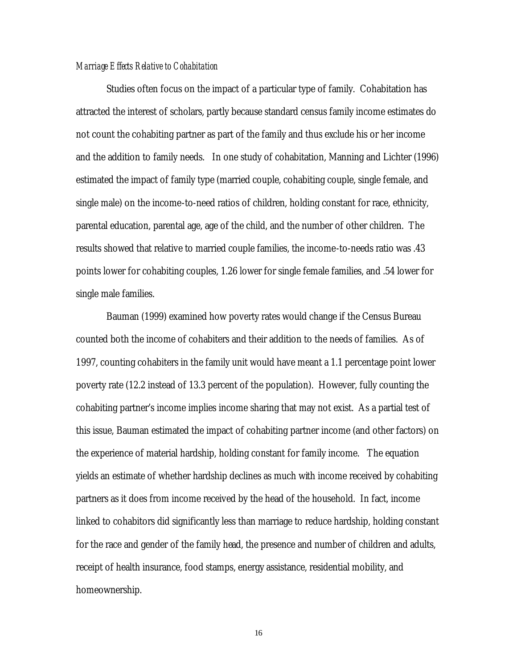#### *Marriage Effects Relative to Cohabitation*

Studies often focus on the impact of a particular type of family. Cohabitation has attracted the interest of scholars, partly because standard census family income estimates do not count the cohabiting partner as part of the family and thus exclude his or her income and the addition to family needs. In one study of cohabitation, Manning and Lichter (1996) estimated the impact of family type (married couple, cohabiting couple, single female, and single male) on the income-to-need ratios of children, holding constant for race, ethnicity, parental education, parental age, age of the child, and the number of other children. The results showed that relative to married couple families, the income-to-needs ratio was .43 points lower for cohabiting couples, 1.26 lower for single female families, and .54 lower for single male families.

Bauman (1999) examined how poverty rates would change if the Census Bureau counted both the income of cohabiters and their addition to the needs of families. As of 1997, counting cohabiters in the family unit would have meant a 1.1 percentage point lower poverty rate (12.2 instead of 13.3 percent of the population). However, fully counting the cohabiting partner's income implies income sharing that may not exist. As a partial test of this issue, Bauman estimated the impact of cohabiting partner income (and other factors) on the experience of material hardship, holding constant for family income. The equation yields an estimate of whether hardship declines as much with income received by cohabiting partners as it does from income received by the head of the household. In fact, income linked to cohabitors did significantly less than marriage to reduce hardship, holding constant for the race and gender of the family head, the presence and number of children and adults, receipt of health insurance, food stamps, energy assistance, residential mobility, and homeownership.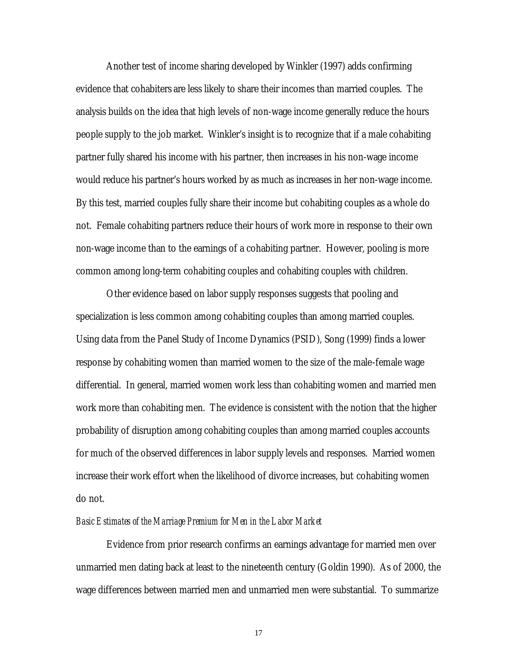Another test of income sharing developed by Winkler (1997) adds confirming evidence that cohabiters are less likely to share their incomes than married couples. The analysis builds on the idea that high levels of non-wage income generally reduce the hours people supply to the job market. Winkler's insight is to recognize that if a male cohabiting partner fully shared his income with his partner, then increases in his non-wage income would reduce his partner's hours worked by as much as increases in her non-wage income. By this test, married couples fully share their income but cohabiting couples as a whole do not. Female cohabiting partners reduce their hours of work more in response to their own non-wage income than to the earnings of a cohabiting partner. However, pooling is more common among long-term cohabiting couples and cohabiting couples with children.

Other evidence based on labor supply responses suggests that pooling and specialization is less common among cohabiting couples than among married couples. Using data from the Panel Study of Income Dynamics (PSID), Song (1999) finds a lower response by cohabiting women than married women to the size of the male-female wage differential. In general, married women work less than cohabiting women and married men work more than cohabiting men. The evidence is consistent with the notion that the higher probability of disruption among cohabiting couples than among married couples accounts for much of the observed differences in labor supply levels and responses. Married women increase their work effort when the likelihood of divorce increases, but cohabiting women do not.

#### *Basic Estimates of the Marriage Premium for Men in the Labor Market*

Evidence from prior research confirms an earnings advantage for married men over unmarried men dating back at least to the nineteenth century (Goldin 1990). As of 2000, the wage differences between married men and unmarried men were substantial. To summarize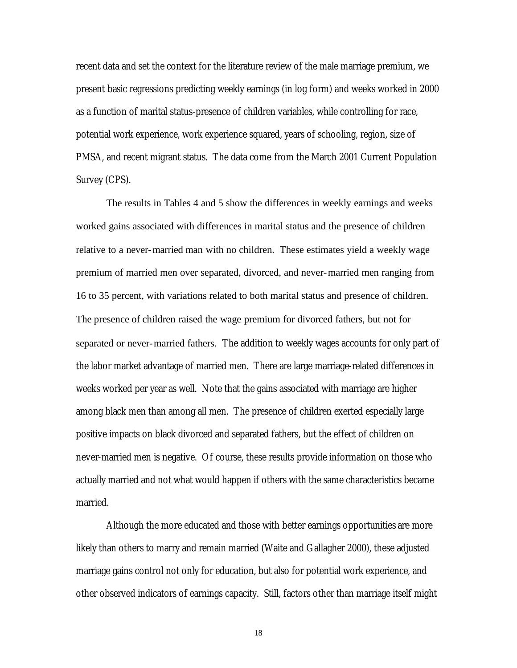recent data and set the context for the literature review of the male marriage premium, we present basic regressions predicting weekly earnings (in log form) and weeks worked in 2000 as a function of marital status-presence of children variables, while controlling for race, potential work experience, work experience squared, years of schooling, region, size of PMSA, and recent migrant status. The data come from the March 2001 Current Population Survey (CPS).

The results in Tables 4 and 5 show the differences in weekly earnings and weeks worked gains associated with differences in marital status and the presence of children relative to a never-married man with no children. These estimates yield a weekly wage premium of married men over separated, divorced, and never-married men ranging from 16 to 35 percent, with variations related to both marital status and presence of children. The presence of children raised the wage premium for divorced fathers, but not for separated or never-married fathers. The addition to weekly wages accounts for only part of the labor market advantage of married men. There are large marriage-related differences in weeks worked per year as well. Note that the gains associated with marriage are higher among black men than among all men. The presence of children exerted especially large positive impacts on black divorced and separated fathers, but the effect of children on never-married men is negative. Of course, these results provide information on those who actually married and not what would happen if others with the same characteristics became married.

Although the more educated and those with better earnings opportunities are more likely than others to marry and remain married (Waite and Gallagher 2000), these adjusted marriage gains control not only for education, but also for potential work experience, and other observed indicators of earnings capacity. Still, factors other than marriage itself might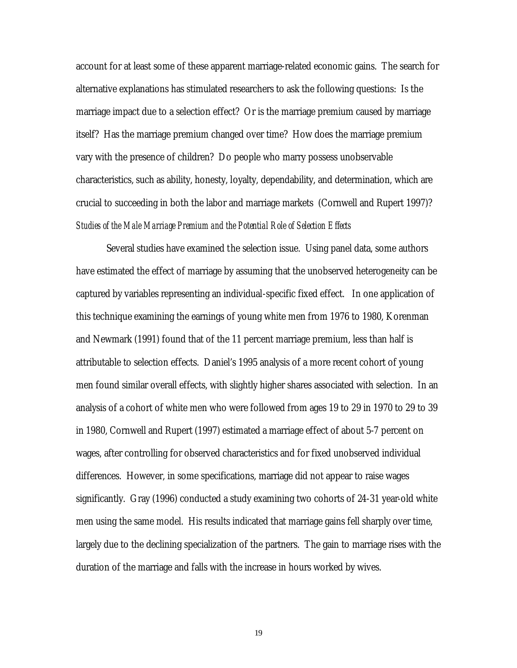account for at least some of these apparent marriage-related economic gains. The search for alternative explanations has stimulated researchers to ask the following questions: Is the marriage impact due to a selection effect? Or is the marriage premium caused by marriage itself? Has the marriage premium changed over time? How does the marriage premium vary with the presence of children? Do people who marry possess unobservable characteristics, such as ability, honesty, loyalty, dependability, and determination, which are crucial to succeeding in both the labor and marriage markets (Cornwell and Rupert 1997)? *Studies of the Male Marriage Premium and the Potential Role of Selection Effects*

Several studies have examined the selection issue. Using panel data, some authors have estimated the effect of marriage by assuming that the unobserved heterogeneity can be captured by variables representing an individual-specific fixed effect. In one application of this technique examining the earnings of young white men from 1976 to 1980, Korenman and Newmark (1991) found that of the 11 percent marriage premium, less than half is attributable to selection effects. Daniel's 1995 analysis of a more recent cohort of young men found similar overall effects, with slightly higher shares associated with selection. In an analysis of a cohort of white men who were followed from ages 19 to 29 in 1970 to 29 to 39 in 1980, Cornwell and Rupert (1997) estimated a marriage effect of about 5-7 percent on wages, after controlling for observed characteristics and for fixed unobserved individual differences. However, in some specifications, marriage did not appear to raise wages significantly. Gray (1996) conducted a study examining two cohorts of 24-31 year-old white men using the same model. His results indicated that marriage gains fell sharply over time, largely due to the declining specialization of the partners. The gain to marriage rises with the duration of the marriage and falls with the increase in hours worked by wives.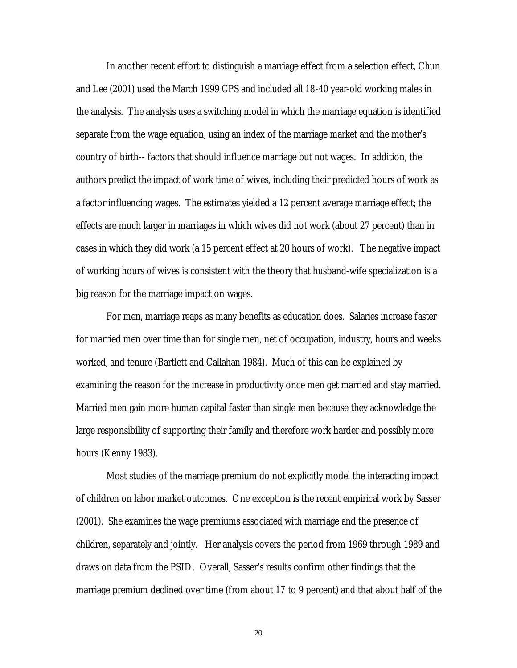In another recent effort to distinguish a marriage effect from a selection effect, Chun and Lee (2001) used the March 1999 CPS and included all 18-40 year-old working males in the analysis. The analysis uses a switching model in which the marriage equation is identified separate from the wage equation, using an index of the marriage market and the mother's country of birth-- factors that should influence marriage but not wages. In addition, the authors predict the impact of work time of wives, including their predicted hours of work as a factor influencing wages. The estimates yielded a 12 percent average marriage effect; the effects are much larger in marriages in which wives did not work (about 27 percent) than in cases in which they did work (a 15 percent effect at 20 hours of work). The negative impact of working hours of wives is consistent with the theory that husband-wife specialization is a big reason for the marriage impact on wages.

For men, marriage reaps as many benefits as education does. Salaries increase faster for married men over time than for single men, net of occupation, industry, hours and weeks worked, and tenure (Bartlett and Callahan 1984). Much of this can be explained by examining the reason for the increase in productivity once men get married and stay married. Married men gain more human capital faster than single men because they acknowledge the large responsibility of supporting their family and therefore work harder and possibly more hours (Kenny 1983).

Most studies of the marriage premium do not explicitly model the interacting impact of children on labor market outcomes. One exception is the recent empirical work by Sasser (2001). She examines the wage premiums associated with marriage and the presence of children, separately and jointly. Her analysis covers the period from 1969 through 1989 and draws on data from the PSID. Overall, Sasser's results confirm other findings that the marriage premium declined over time (from about 17 to 9 percent) and that about half of the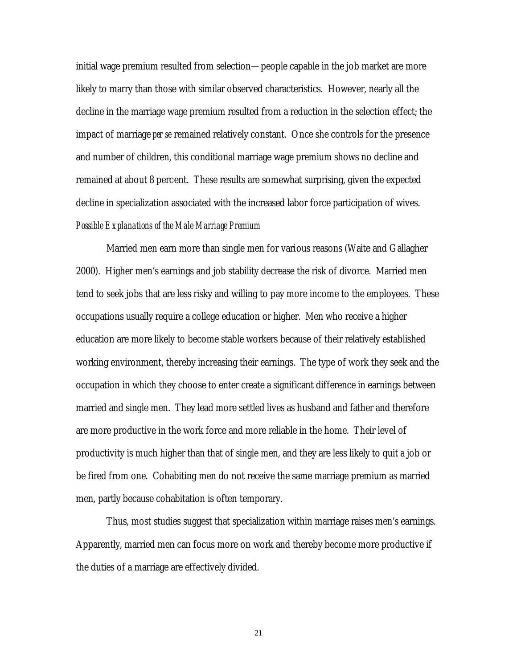initial wage premium resulted from selection—people capable in the job market are more likely to marry than those with similar observed characteristics. However, nearly all the decline in the marriage wage premium resulted from a reduction in the selection effect; the impact of marriage *per se* remained relatively constant. Once she controls for the presence and number of children, this conditional marriage wage premium shows no decline and remained at about 8 percent. These results are somewhat surprising, given the expected decline in specialization associated with the increased labor force participation of wives. *Possible Explanations of the Male Marriage Premium*

Married men earn more than single men for various reasons (Waite and Gallagher 2000). Higher men's earnings and job stability decrease the risk of divorce. Married men tend to seek jobs that are less risky and willing to pay more income to the employees. These occupations usually require a college education or higher. Men who receive a higher education are more likely to become stable workers because of their relatively established working environment, thereby increasing their earnings. The type of work they seek and the occupation in which they choose to enter create a significant difference in earnings between married and single men. They lead more settled lives as husband and father and therefore are more productive in the work force and more reliable in the home. Their level of productivity is much higher than that of single men, and they are less likely to quit a job or be fired from one. Cohabiting men do not receive the same marriage premium as married men, partly because cohabitation is often temporary.

Thus, most studies suggest that specialization within marriage raises men's earnings. Apparently, married men can focus more on work and thereby become more productive if the duties of a marriage are effectively divided.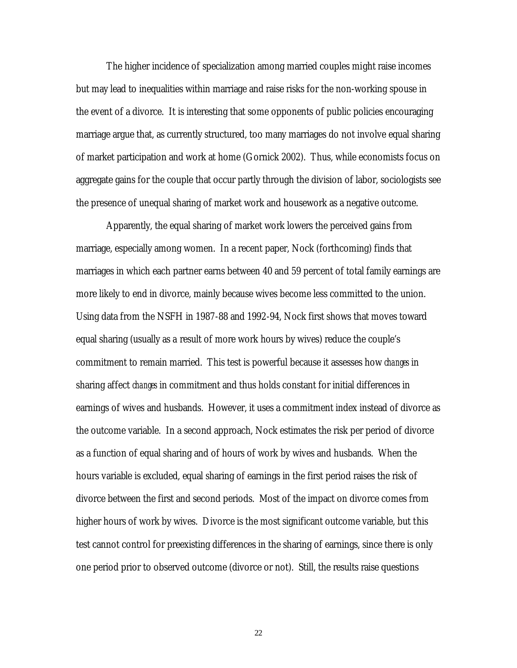The higher incidence of specialization among married couples might raise incomes but may lead to inequalities within marriage and raise risks for the non-working spouse in the event of a divorce. It is interesting that some opponents of public policies encouraging marriage argue that, as currently structured, too many marriages do not involve equal sharing of market participation and work at home (Gornick 2002). Thus, while economists focus on aggregate gains for the couple that occur partly through the division of labor, sociologists see the presence of unequal sharing of market work and housework as a negative outcome.

Apparently, the equal sharing of market work lowers the perceived gains from marriage, especially among women. In a recent paper, Nock (forthcoming) finds that marriages in which each partner earns between 40 and 59 percent of total family earnings are more likely to end in divorce, mainly because wives become less committed to the union. Using data from the NSFH in 1987-88 and 1992-94, Nock first shows that moves toward equal sharing (usually as a result of more work hours by wives) reduce the couple's commitment to remain married. This test is powerful because it assesses how *changes* in sharing affect *changes* in commitment and thus holds constant for initial differences in earnings of wives and husbands. However, it uses a commitment index instead of divorce as the outcome variable. In a second approach, Nock estimates the risk per period of divorce as a function of equal sharing and of hours of work by wives and husbands. When the hours variable is excluded, equal sharing of earnings in the first period raises the risk of divorce between the first and second periods. Most of the impact on divorce comes from higher hours of work by wives. Divorce is the most significant outcome variable, but this test cannot control for preexisting differences in the sharing of earnings, since there is only one period prior to observed outcome (divorce or not). Still, the results raise questions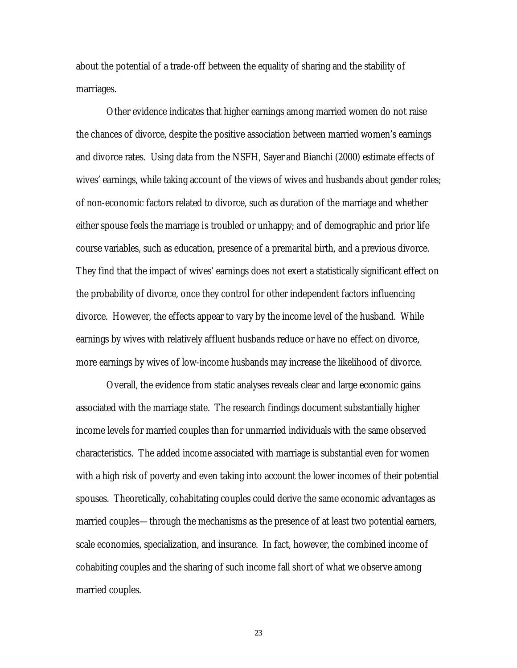about the potential of a trade-off between the equality of sharing and the stability of marriages.

Other evidence indicates that higher earnings among married women do not raise the chances of divorce, despite the positive association between married women's earnings and divorce rates. Using data from the NSFH, Sayer and Bianchi (2000) estimate effects of wives' earnings, while taking account of the views of wives and husbands about gender roles; of non-economic factors related to divorce, such as duration of the marriage and whether either spouse feels the marriage is troubled or unhappy; and of demographic and prior life course variables, such as education, presence of a premarital birth, and a previous divorce. They find that the impact of wives' earnings does not exert a statistically significant effect on the probability of divorce, once they control for other independent factors influencing divorce. However, the effects appear to vary by the income level of the husband. While earnings by wives with relatively affluent husbands reduce or have no effect on divorce, more earnings by wives of low-income husbands may increase the likelihood of divorce.

Overall, the evidence from static analyses reveals clear and large economic gains associated with the marriage state. The research findings document substantially higher income levels for married couples than for unmarried individuals with the same observed characteristics. The added income associated with marriage is substantial even for women with a high risk of poverty and even taking into account the lower incomes of their potential spouses. Theoretically, cohabitating couples could derive the same economic advantages as married couples—through the mechanisms as the presence of at least two potential earners, scale economies, specialization, and insurance. In fact, however, the combined income of cohabiting couples and the sharing of such income fall short of what we observe among married couples.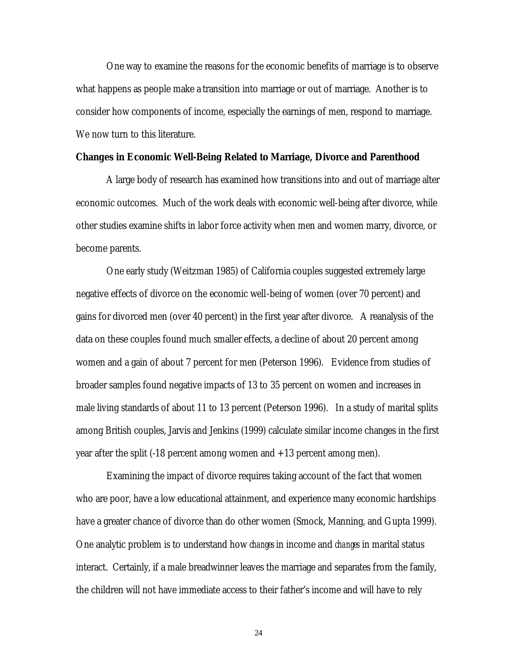One way to examine the reasons for the economic benefits of marriage is to observe what happens as people make a transition into marriage or out of marriage. Another is to consider how components of income, especially the earnings of men, respond to marriage. We now turn to this literature.

#### **Changes in Economic Well-Being Related to Marriage, Divorce and Parenthood**

A large body of research has examined how transitions into and out of marriage alter economic outcomes. Much of the work deals with economic well-being after divorce, while other studies examine shifts in labor force activity when men and women marry, divorce, or become parents.

One early study (Weitzman 1985) of California couples suggested extremely large negative effects of divorce on the economic well-being of women (over 70 percent) and gains for divorced men (over 40 percent) in the first year after divorce. A reanalysis of the data on these couples found much smaller effects, a decline of about 20 percent among women and a gain of about 7 percent for men (Peterson 1996). Evidence from studies of broader samples found negative impacts of 13 to 35 percent on women and increases in male living standards of about 11 to 13 percent (Peterson 1996). In a study of marital splits among British couples, Jarvis and Jenkins (1999) calculate similar income changes in the first year after the split (-18 percent among women and +13 percent among men).

Examining the impact of divorce requires taking account of the fact that women who are poor, have a low educational attainment, and experience many economic hardships have a greater chance of divorce than do other women (Smock, Manning, and Gupta 1999). One analytic problem is to understand how *changes* in income and *changes* in marital status interact. Certainly, if a male breadwinner leaves the marriage and separates from the family, the children will not have immediate access to their father's income and will have to rely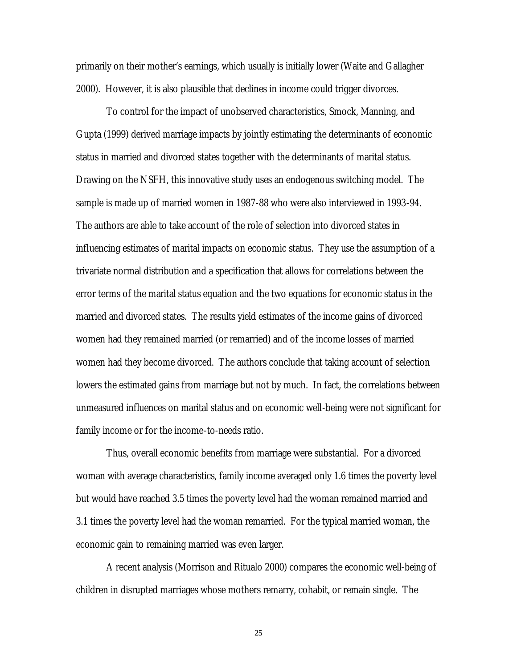primarily on their mother's earnings, which usually is initially lower (Waite and Gallagher 2000). However, it is also plausible that declines in income could trigger divorces.

To control for the impact of unobserved characteristics, Smock, Manning, and Gupta (1999) derived marriage impacts by jointly estimating the determinants of economic status in married and divorced states together with the determinants of marital status. Drawing on the NSFH, this innovative study uses an endogenous switching model. The sample is made up of married women in 1987-88 who were also interviewed in 1993-94. The authors are able to take account of the role of selection into divorced states in influencing estimates of marital impacts on economic status. They use the assumption of a trivariate normal distribution and a specification that allows for correlations between the error terms of the marital status equation and the two equations for economic status in the married and divorced states. The results yield estimates of the income gains of divorced women had they remained married (or remarried) and of the income losses of married women had they become divorced. The authors conclude that taking account of selection lowers the estimated gains from marriage but not by much. In fact, the correlations between unmeasured influences on marital status and on economic well-being were not significant for family income or for the income-to-needs ratio.

Thus, overall economic benefits from marriage were substantial. For a divorced woman with average characteristics, family income averaged only 1.6 times the poverty level but would have reached 3.5 times the poverty level had the woman remained married and 3.1 times the poverty level had the woman remarried. For the typical married woman, the economic gain to remaining married was even larger.

A recent analysis (Morrison and Ritualo 2000) compares the economic well-being of children in disrupted marriages whose mothers remarry, cohabit, or remain single. The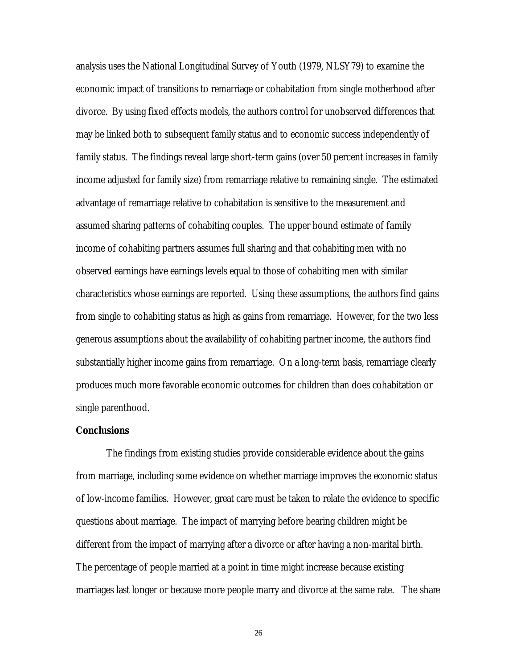analysis uses the National Longitudinal Survey of Youth (1979, NLSY79) to examine the economic impact of transitions to remarriage or cohabitation from single motherhood after divorce. By using fixed effects models, the authors control for unobserved differences that may be linked both to subsequent family status and to economic success independently of family status. The findings reveal large short-term gains (over 50 percent increases in family income adjusted for family size) from remarriage relative to remaining single. The estimated advantage of remarriage relative to cohabitation is sensitive to the measurement and assumed sharing patterns of cohabiting couples. The upper bound estimate of family income of cohabiting partners assumes full sharing and that cohabiting men with no observed earnings have earnings levels equal to those of cohabiting men with similar characteristics whose earnings are reported. Using these assumptions, the authors find gains from single to cohabiting status as high as gains from remarriage. However, for the two less generous assumptions about the availability of cohabiting partner income, the authors find substantially higher income gains from remarriage. On a long-term basis, remarriage clearly produces much more favorable economic outcomes for children than does cohabitation or single parenthood.

#### **Conclusions**

The findings from existing studies provide considerable evidence about the gains from marriage, including some evidence on whether marriage improves the economic status of low-income families. However, great care must be taken to relate the evidence to specific questions about marriage. The impact of marrying before bearing children might be different from the impact of marrying after a divorce or after having a non-marital birth. The percentage of people married at a point in time might increase because existing marriages last longer or because more people marry and divorce at the same rate. The share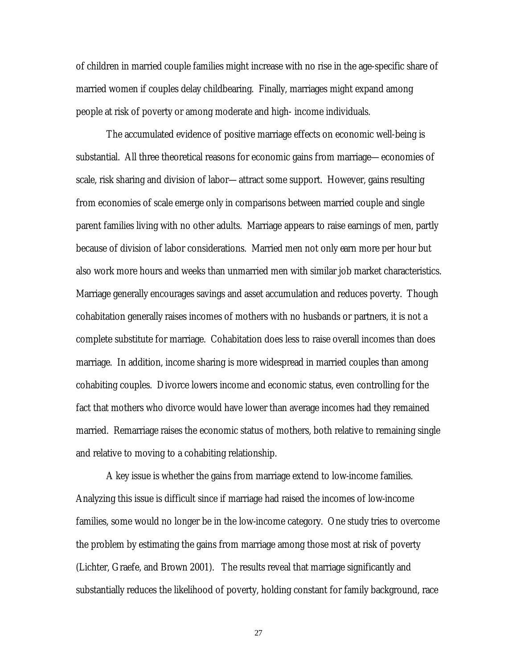of children in married couple families might increase with no rise in the age-specific share of married women if couples delay childbearing. Finally, marriages might expand among people at risk of poverty or among moderate and high- income individuals.

The accumulated evidence of positive marriage effects on economic well-being is substantial. All three theoretical reasons for economic gains from marriage—economies of scale, risk sharing and division of labor—attract some support. However, gains resulting from economies of scale emerge only in comparisons between married couple and single parent families living with no other adults. Marriage appears to raise earnings of men, partly because of division of labor considerations. Married men not only earn more per hour but also work more hours and weeks than unmarried men with similar job market characteristics. Marriage generally encourages savings and asset accumulation and reduces poverty. Though cohabitation generally raises incomes of mothers with no husbands or partners, it is not a complete substitute for marriage. Cohabitation does less to raise overall incomes than does marriage. In addition, income sharing is more widespread in married couples than among cohabiting couples. Divorce lowers income and economic status, even controlling for the fact that mothers who divorce would have lower than average incomes had they remained married. Remarriage raises the economic status of mothers, both relative to remaining single and relative to moving to a cohabiting relationship.

A key issue is whether the gains from marriage extend to low-income families. Analyzing this issue is difficult since if marriage had raised the incomes of low-income families, some would no longer be in the low-income category. One study tries to overcome the problem by estimating the gains from marriage among those most at risk of poverty (Lichter, Graefe, and Brown 2001). The results reveal that marriage significantly and substantially reduces the likelihood of poverty, holding constant for family background, race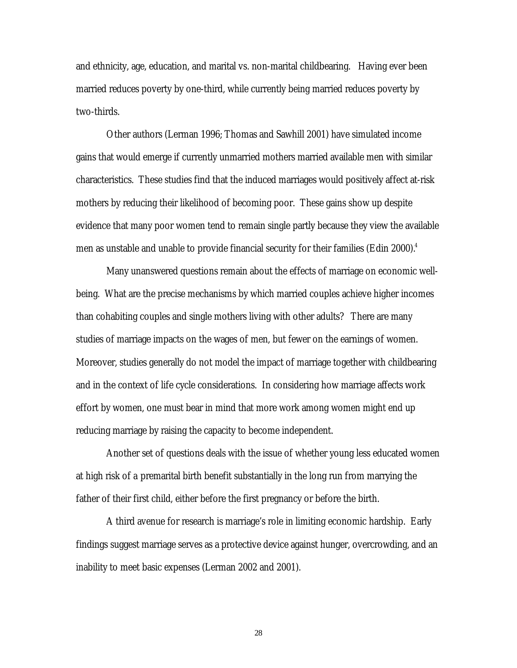and ethnicity, age, education, and marital vs. non-marital childbearing. Having ever been married reduces poverty by one-third, while currently being married reduces poverty by two-thirds.

Other authors (Lerman 1996; Thomas and Sawhill 2001) have simulated income gains that would emerge if currently unmarried mothers married available men with similar characteristics. These studies find that the induced marriages would positively affect at-risk mothers by reducing their likelihood of becoming poor. These gains show up despite evidence that many poor women tend to remain single partly because they view the available men as unstable and unable to provide financial security for their families (Edin 2000). $^4$ 

Many unanswered questions remain about the effects of marriage on economic wellbeing. What are the precise mechanisms by which married couples achieve higher incomes than cohabiting couples and single mothers living with other adults? There are many studies of marriage impacts on the wages of men, but fewer on the earnings of women. Moreover, studies generally do not model the impact of marriage together with childbearing and in the context of life cycle considerations. In considering how marriage affects work effort by women, one must bear in mind that more work among women might end up reducing marriage by raising the capacity to become independent.

Another set of questions deals with the issue of whether young less educated women at high risk of a premarital birth benefit substantially in the long run from marrying the father of their first child, either before the first pregnancy or before the birth.

A third avenue for research is marriage's role in limiting economic hardship. Early findings suggest marriage serves as a protective device against hunger, overcrowding, and an inability to meet basic expenses (Lerman 2002 and 2001).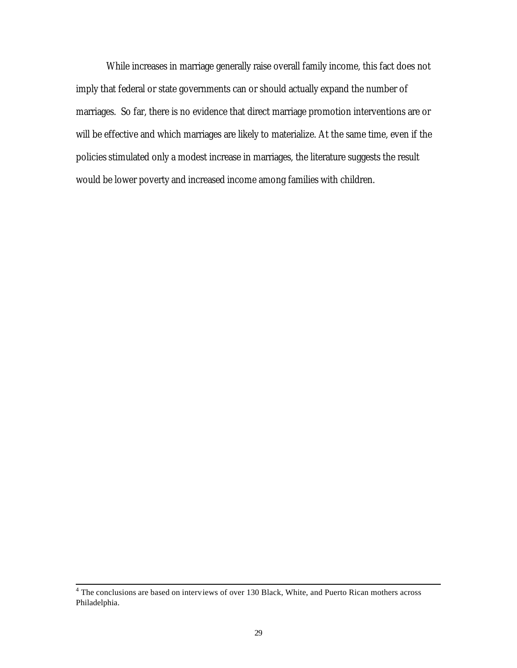While increases in marriage generally raise overall family income, this fact does not imply that federal or state governments can or should actually expand the number of marriages. So far, there is no evidence that direct marriage promotion interventions are or will be effective and which marriages are likely to materialize. At the same time, even if the policies stimulated only a modest increase in marriages, the literature suggests the result would be lower poverty and increased income among families with children.

<sup>&</sup>lt;sup>4</sup> The conclusions are based on interviews of over 130 Black, White, and Puerto Rican mothers across Philadelphia.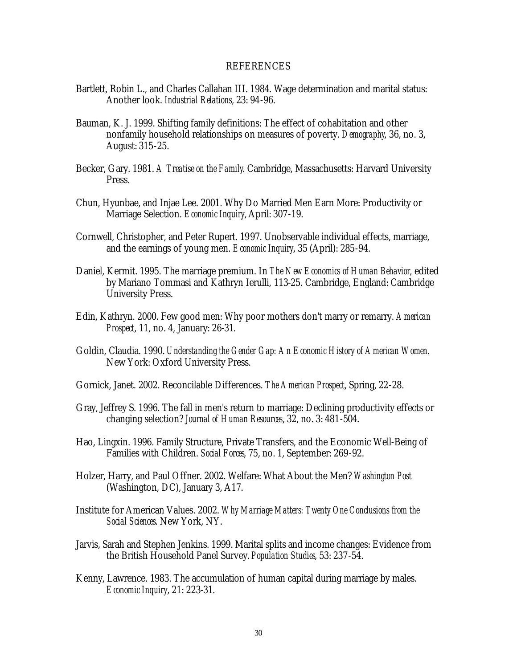#### REFERENCES

- Bartlett, Robin L., and Charles Callahan III. 1984. Wage determination and marital status: Another look. *Industrial Relations*, 23: 94-96.
- Bauman, K. J. 1999. Shifting family definitions: The effect of cohabitation and other nonfamily household relationships on measures of poverty. *Demography*, 36, no. 3, August: 315-25.
- Becker, Gary. 1981. *A Treatise on the Family*. Cambridge, Massachusetts: Harvard University Press.
- Chun, Hyunbae, and Injae Lee. 2001. Why Do Married Men Earn More: Productivity or Marriage Selection. *Economic Inquiry*, April: 307-19.
- Cornwell, Christopher, and Peter Rupert. 1997. Unobservable individual effects, marriage, and the earnings of young men. *Economic Inquiry*, 35 (April): 285-94.
- Daniel, Kermit. 1995. The marriage premium. In *The New Economics of Human Behavior*, edited by Mariano Tommasi and Kathryn Ierulli, 113-25. Cambridge, England: Cambridge University Press.
- Edin, Kathryn. 2000. Few good men: Why poor mothers don't marry or remarry. *American Prospect*, 11, no. 4, January: 26-31.
- Goldin, Claudia. 1990. *Understanding the Gender Gap: An Economic History of American Women*. New York: Oxford University Press.
- Gornick, Janet. 2002. Reconcilable Differences. *The American Prospect*, Spring, 22-28.
- Gray, Jeffrey S. 1996. The fall in men's return to marriage: Declining productivity effects or changing selection? *Journal of Human Resources*, 32, no. 3: 481-504.
- Hao, Lingxin. 1996. Family Structure, Private Transfers, and the Economic Well-Being of Families with Children. *Social Forces*, 75, no. 1, September: 269-92.
- Holzer, Harry, and Paul Offner. 2002. Welfare: What About the Men? *Washington Post* (Washington, DC), January 3, A17.
- Institute for American Values. 2002. *Why Marriage Matters: Twenty One Conclusions from the Social Sciences*. New York, NY.
- Jarvis, Sarah and Stephen Jenkins. 1999. Marital splits and income changes: Evidence from the British Household Panel Survey. *Population Studies*, 53: 237-54.
- Kenny, Lawrence. 1983. The accumulation of human capital during marriage by males. *Economic Inquiry*, 21: 223-31.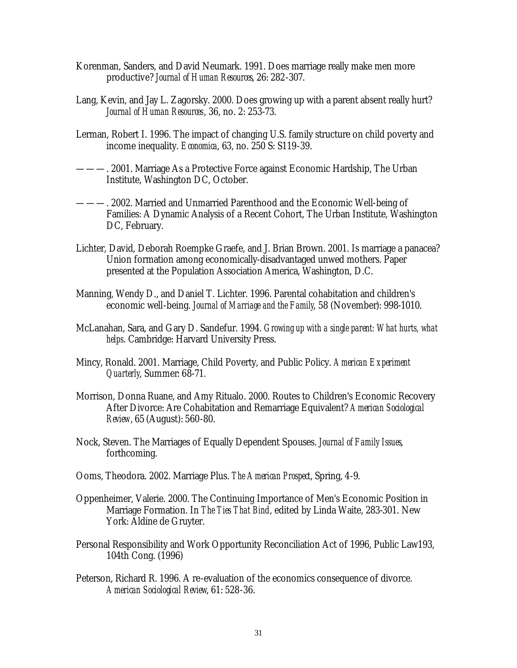- Korenman, Sanders, and David Neumark. 1991. Does marriage really make men more productive? *Journal of Human Resources*, 26: 282-307.
- Lang, Kevin, and Jay L. Zagorsky. 2000. Does growing up with a parent absent really hurt? *Journal of Human Resources*, 36, no. 2: 253-73.
- Lerman, Robert I. 1996. The impact of changing U.S. family structure on child poverty and income inequality. *Economica*, 63, no. 250 S: S119-39.
- ———. 2001. Marriage As a Protective Force against Economic Hardship, The Urban Institute, Washington DC, October.
- ———. 2002. Married and Unmarried Parenthood and the Economic Well-being of Families: A Dynamic Analysis of a Recent Cohort, The Urban Institute, Washington DC, February.
- Lichter, David, Deborah Roempke Graefe, and J. Brian Brown. 2001. Is marriage a panacea? Union formation among economically-disadvantaged unwed mothers. Paper presented at the Population Association America, Washington, D.C.
- Manning, Wendy D., and Daniel T. Lichter. 1996. Parental cohabitation and children's economic well-being. *Journal of Marriage and the Family*, 58 (November): 998-1010.
- McLanahan, Sara, and Gary D. Sandefur. 1994. *Growing up with a single parent: What hurts, what helps*. Cambridge: Harvard University Press.
- Mincy, Ronald. 2001. Marriage, Child Poverty, and Public Policy. *American Experiment Quarterly*, Summer: 68-71.
- Morrison, Donna Ruane, and Amy Ritualo. 2000. Routes to Children's Economic Recovery After Divorce: Are Cohabitation and Remarriage Equivalent? *American Sociological Review*, 65 (August): 560-80.
- Nock, Steven. The Marriages of Equally Dependent Spouses. *Journal of Family Issues*, forthcoming.
- Ooms, Theodora. 2002. Marriage Plus. *The American Prospect*, Spring, 4-9.
- Oppenheimer, Valerie. 2000. The Continuing Importance of Men's Economic Position in Marriage Formation. In *The Ties That Bind*, edited by Linda Waite, 283-301. New York: Aldine de Gruyter.
- Personal Responsibility and Work Opportunity Reconciliation Act of 1996, Public Law193, 104th Cong. (1996)
- Peterson, Richard R. 1996. A re-evaluation of the economics consequence of divorce. *American Sociological Review*, 61: 528-36.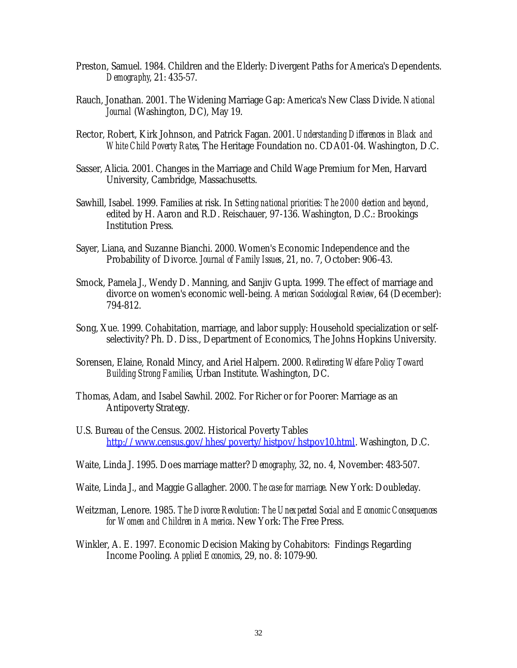- Preston, Samuel. 1984. Children and the Elderly: Divergent Paths for America's Dependents. *Demography*, 21: 435-57.
- Rauch, Jonathan. 2001. The Widening Marriage Gap: America's New Class Divide. *National Journal* (Washington, DC), May 19.
- Rector, Robert, Kirk Johnson, and Patrick Fagan. 2001. *Understanding Differences in Black and White Child Poverty Rates*, The Heritage Foundation no. CDA01-04. Washington, D.C.
- Sasser, Alicia. 2001. Changes in the Marriage and Child Wage Premium for Men, Harvard University, Cambridge, Massachusetts.
- Sawhill, Isabel. 1999. Families at risk. In *Setting national priorities: The 2000 election and beyond*, edited by H. Aaron and R.D. Reischauer, 97-136. Washington, D.C.: Brookings Institution Press.
- Sayer, Liana, and Suzanne Bianchi. 2000. Women's Economic Independence and the Probability of Divorce. *Journal of Family Issues*, 21, no. 7, October: 906-43.
- Smock, Pamela J., Wendy D. Manning, and Sanjiv Gupta. 1999. The effect of marriage and divorce on women's economic well-being. *American Sociological Review*, 64 (December): 794-812.
- Song, Xue. 1999. Cohabitation, marriage, and labor supply: Household specialization or selfselectivity? Ph. D. Diss., Department of Economics, The Johns Hopkins University.
- Sorensen, Elaine, Ronald Mincy, and Ariel Halpern. 2000. *Redirecting Welfare Policy Toward Building Strong Families*, Urban Institute. Washington, DC.
- Thomas, Adam, and Isabel Sawhil. 2002. For Richer or for Poorer: Marriage as an Antipoverty Strategy.
- U.S. Bureau of the Census. 2002. Historical Poverty Tables http://www.census.gov/hhes/poverty/histpov/hstpov10.html. Washington, D.C.
- Waite, Linda J. 1995. Does marriage matter? *Demography*, 32, no. 4, November: 483-507.
- Waite, Linda J., and Maggie Gallagher. 2000. *The case for marriage*. New York: Doubleday.
- Weitzman, Lenore. 1985. *The Divorce Revolution: The Unexpected Social and Economic Consequences for Women and Children in America*. New York: The Free Press.
- Winkler, A. E. 1997. Economic Decision Making by Cohabitors: Findings Regarding Income Pooling. *Applied Economics*, 29, no. 8: 1079-90.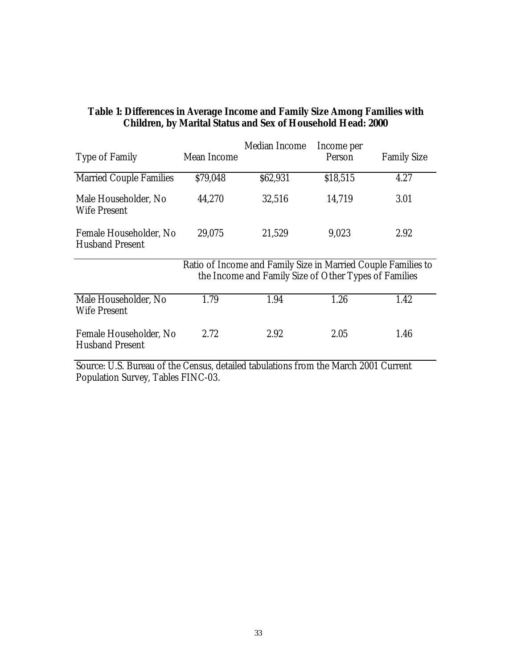| <b>Type of Family</b>                                                            | Mean Income | Median Income                                                                                                          | Income per<br>Person | <b>Family Size</b> |
|----------------------------------------------------------------------------------|-------------|------------------------------------------------------------------------------------------------------------------------|----------------------|--------------------|
| <b>Married Couple Families</b>                                                   | \$79,048    | \$62,931                                                                                                               | \$18,515             | 4.27               |
| Male Householder, No<br><b>Wife Present</b>                                      | 44,270      | 32,516                                                                                                                 | 14,719               | 3.01               |
| Female Householder, No<br><b>Husband Present</b>                                 | 29,075      | 21,529                                                                                                                 | 9,023                | 2.92               |
|                                                                                  |             | Ratio of Income and Family Size in Married Couple Families to<br>the Income and Family Size of Other Types of Families |                      |                    |
| Male Householder, No<br><b>Wife Present</b>                                      | 1.79        | 1.94                                                                                                                   | 1.26                 | 1.42               |
| Female Householder, No<br><b>Husband Present</b>                                 | 2.72        | 2.92                                                                                                                   | 2.05                 | 1.46               |
| Course LLC Dureau of the Congue detailed tobulations from the March 2001 Current |             |                                                                                                                        |                      |                    |

## **Table 1: Differences in Average Income and Family Size Among Families with Children, by Marital Status and Sex of Household Head: 2000**

Source: U.S. Bureau of the Census, detailed tabulations from the March 2001 Current Population Survey, Tables FINC-03.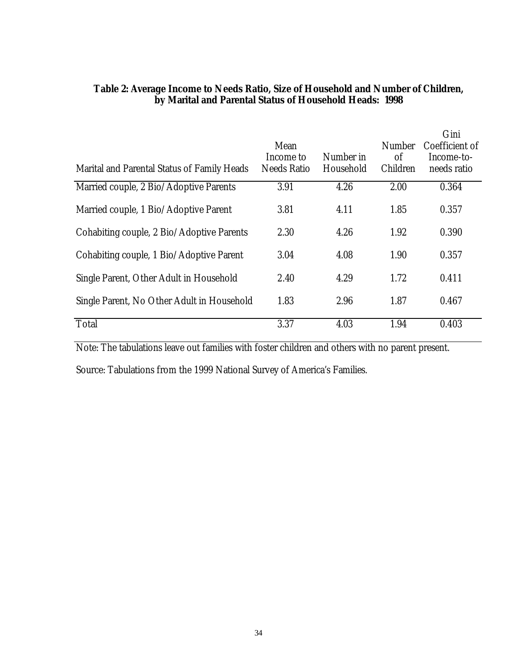| Marital and Parental Status of Family Heads | Mean<br>Income to<br><b>Needs Ratio</b> | Number in<br>Household | <b>Number</b><br>of<br>Children | Gini<br>Coefficient of<br>Income-to-<br>needs ratio |
|---------------------------------------------|-----------------------------------------|------------------------|---------------------------------|-----------------------------------------------------|
| Married couple, 2 Bio/Adoptive Parents      | 3.91                                    | 4.26                   | 2.00                            | 0.364                                               |
| Married couple, 1 Bio/Adoptive Parent       | 3.81                                    | 4.11                   | 1.85                            | 0.357                                               |
| Cohabiting couple, 2 Bio/Adoptive Parents   | 2.30                                    | 4.26                   | 1.92                            | 0.390                                               |
| Cohabiting couple, 1 Bio/Adoptive Parent    | 3.04                                    | 4.08                   | 1.90                            | 0.357                                               |
| Single Parent, Other Adult in Household     | 2.40                                    | 4.29                   | 1.72                            | 0.411                                               |
| Single Parent, No Other Adult in Household  | 1.83                                    | 2.96                   | 1.87                            | 0.467                                               |
| Total                                       | 3.37                                    | 4.03                   | 1.94                            | 0.403                                               |

## **Table 2: Average Income to Needs Ratio, Size of Household and Number of Children, by Marital and Parental Status of Household Heads: 1998**

Note: The tabulations leave out families with foster children and others with no parent present.

Source: Tabulations from the 1999 National Survey of America's Families.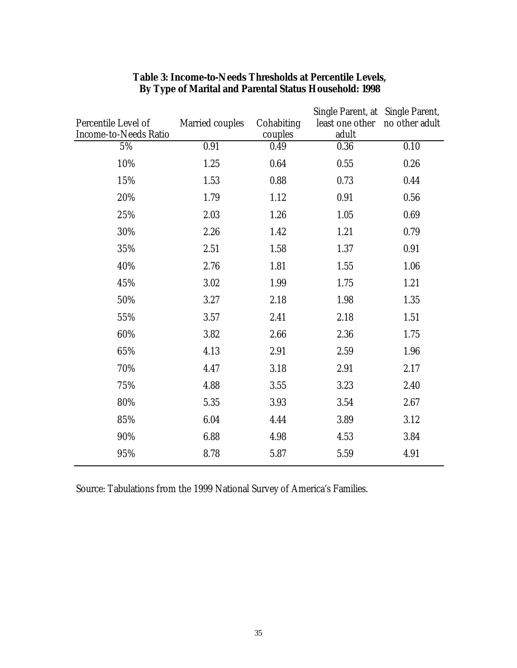|                                |                 |                 | Single Parent, at Single Parent, |                   |
|--------------------------------|-----------------|-----------------|----------------------------------|-------------------|
| Percentile Level of            | Married couples | Cohabiting      | least one other                  | no other adult    |
| Income-to-Needs Ratio<br>$5\%$ | 0.91            | couples<br>0.49 | adult<br>0.36                    | $\overline{0.10}$ |
|                                |                 |                 |                                  |                   |
| 10%                            | 1.25            | 0.64            | 0.55                             | 0.26              |
| 15%                            | 1.53            | 0.88            | 0.73                             | 0.44              |
| 20%                            | 1.79            | 1.12            | 0.91                             | 0.56              |
| 25%                            | 2.03            | 1.26            | 1.05                             | 0.69              |
| 30%                            | 2.26            | 1.42            | 1.21                             | 0.79              |
| 35%                            | 2.51            | 1.58            | 1.37                             | 0.91              |
| 40%                            | 2.76            | 1.81            | 1.55                             | 1.06              |
| 45%                            | 3.02            | 1.99            | 1.75                             | 1.21              |
| 50%                            | 3.27            | 2.18            | 1.98                             | 1.35              |
| 55%                            | 3.57            | 2.41            | 2.18                             | 1.51              |
| 60%                            | 3.82            | 2.66            | 2.36                             | 1.75              |
| 65%                            | 4.13            | 2.91            | 2.59                             | 1.96              |
| 70%                            | 4.47            | 3.18            | 2.91                             | 2.17              |
| 75%                            | 4.88            | 3.55            | 3.23                             | 2.40              |
| 80%                            | 5.35            | 3.93            | 3.54                             | 2.67              |
| 85%                            | 6.04            | 4.44            | 3.89                             | 3.12              |
| 90%                            | 6.88            | 4.98            | 4.53                             | 3.84              |
| $95\%$                         | 8.78            | 5.87            | 5.59                             | 4.91              |
|                                |                 |                 |                                  |                   |

# **Table 3: Income-to-Needs Thresholds at Percentile Levels, By Type of Marital and Parental Status Household: 1998**

Source: Tabulations from the 1999 National Survey of America's Families.